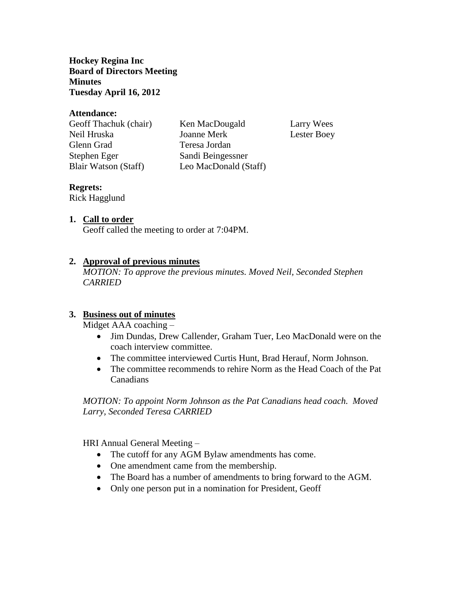**Hockey Regina Inc Board of Directors Meeting Minutes Tuesday April 16, 2012**

#### **Attendance:**

Glenn Grad Teresa Jordan Stephen Eger Sandi Beingessner

Geoff Thachuk (chair) Ken MacDougald Larry Wees Neil Hruska Joanne Merk Lester Boey Blair Watson (Staff) Leo MacDonald (Staff)

#### **Regrets:**

Rick Hagglund

#### **1. Call to order**

Geoff called the meeting to order at 7:04PM.

### **2. Approval of previous minutes**

*MOTION: To approve the previous minutes. Moved Neil, Seconded Stephen CARRIED*

#### **3. Business out of minutes**

Midget AAA coaching –

- Jim Dundas, Drew Callender, Graham Tuer, Leo MacDonald were on the coach interview committee.
- The committee interviewed Curtis Hunt, Brad Herauf, Norm Johnson.
- The committee recommends to rehire Norm as the Head Coach of the Pat Canadians

*MOTION: To appoint Norm Johnson as the Pat Canadians head coach. Moved Larry, Seconded Teresa CARRIED* 

HRI Annual General Meeting –

- The cutoff for any AGM Bylaw amendments has come.
- One amendment came from the membership.
- The Board has a number of amendments to bring forward to the AGM.
- Only one person put in a nomination for President, Geoff